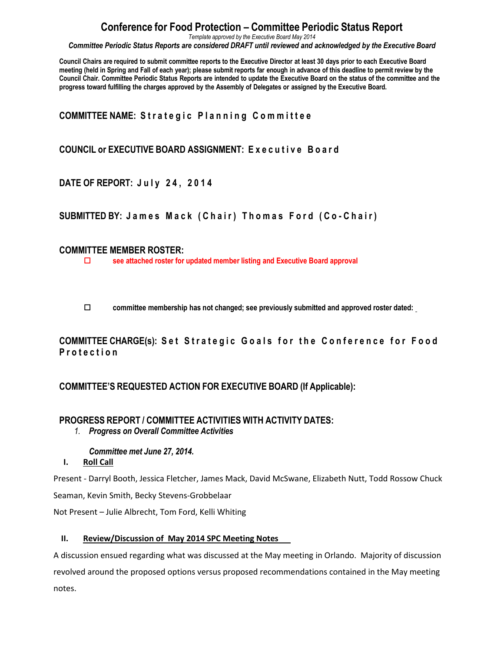*Template approved by the Executive Board May 2014*

*Committee Periodic Status Reports are considered DRAFT until reviewed and acknowledged by the Executive Board*

Council Chairs are required to submit committee reports to the Executive Director at least 30 days prior to each Executive Board meeting (held in Spring and Fall of each year); please submit reports far enough in advance of this deadline to permit review by the Council Chair. Committee Periodic Status Reports are intended to update the Executive Board on the status of the committee and the **progress toward fulfilling the charges approved by the Assembly of Delegates or assigned by the Executive Board.**

## **COMMITTEE NAME: Strategic Planning Committee**

## **COUNCIL or EXECUTIVE BOARD ASSIGNMENT: E x e c u t i v e B o a r d**

**DATE OF REPORT: J u l y 2 4 , 2 0 1 4**

**SUBMITTED BY: J a m e s M a c k ( C h a i r ) T h o m a s F o r d ( C o - C h a i r )**

### **COMMITTEE MEMBER ROSTER:**

**see attached roster for updated member listing and Executive Board approval**

**committee membership has not changed; see previously submitted and approved roster dated:** 

**COMMITTEE CHARGE(s): Set Strategic Goals for the Conference for Food P r o t e c t i o n**

## **COMMITTEE'S REQUESTED ACTION FOR EXECUTIVE BOARD (If Applicable):**

## **PROGRESS REPORT / COMMITTEE ACTIVITIES WITH ACTIVITY DATES:**

*1. Progress on Overall Committee Activities*

### *Committee met June 27, 2014.*

### **I. Roll Call**

Present - Darryl Booth, Jessica Fletcher, James Mack, David McSwane, Elizabeth Nutt, Todd Rossow Chuck Seaman, Kevin Smith, Becky Stevens-Grobbelaar

Not Present – Julie Albrecht, Tom Ford, Kelli Whiting

### **II. Review/Discussion of May 2014 SPC Meeting Notes**

A discussion ensued regarding what was discussed at the May meeting in Orlando. Majority of discussion revolved around the proposed options versus proposed recommendations contained in the May meeting notes.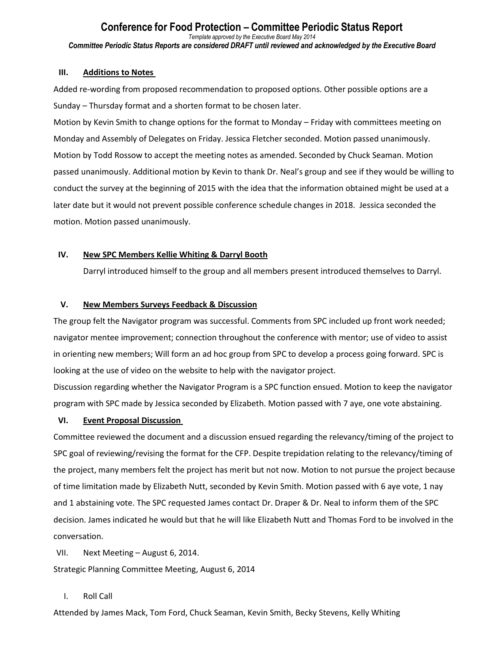#### **Conference for Food Protection – Committee Periodic Status Report** *Template approved by the Executive Board May 2014 Committee Periodic Status Reports are considered DRAFT until reviewed and acknowledged by the Executive Board*

#### **III. Additions to Notes**

Added re-wording from proposed recommendation to proposed options. Other possible options are a Sunday – Thursday format and a shorten format to be chosen later.

Motion by Kevin Smith to change options for the format to Monday – Friday with committees meeting on Monday and Assembly of Delegates on Friday. Jessica Fletcher seconded. Motion passed unanimously. Motion by Todd Rossow to accept the meeting notes as amended. Seconded by Chuck Seaman. Motion passed unanimously. Additional motion by Kevin to thank Dr. Neal's group and see if they would be willing to conduct the survey at the beginning of 2015 with the idea that the information obtained might be used at a later date but it would not prevent possible conference schedule changes in 2018. Jessica seconded the motion. Motion passed unanimously.

#### **IV. New SPC Members Kellie Whiting & Darryl Booth**

Darryl introduced himself to the group and all members present introduced themselves to Darryl.

#### **V. New Members Surveys Feedback & Discussion**

The group felt the Navigator program was successful. Comments from SPC included up front work needed; navigator mentee improvement; connection throughout the conference with mentor; use of video to assist in orienting new members; Will form an ad hoc group from SPC to develop a process going forward. SPC is looking at the use of video on the website to help with the navigator project.

Discussion regarding whether the Navigator Program is a SPC function ensued. Motion to keep the navigator program with SPC made by Jessica seconded by Elizabeth. Motion passed with 7 aye, one vote abstaining.

#### **VI. Event Proposal Discussion**

Committee reviewed the document and a discussion ensued regarding the relevancy/timing of the project to SPC goal of reviewing/revising the format for the CFP. Despite trepidation relating to the relevancy/timing of the project, many members felt the project has merit but not now. Motion to not pursue the project because of time limitation made by Elizabeth Nutt, seconded by Kevin Smith. Motion passed with 6 aye vote, 1 nay and 1 abstaining vote. The SPC requested James contact Dr. Draper & Dr. Neal to inform them of the SPC decision. James indicated he would but that he will like Elizabeth Nutt and Thomas Ford to be involved in the conversation.

VII. Next Meeting – August 6, 2014.

Strategic Planning Committee Meeting, August 6, 2014

#### I. Roll Call

Attended by James Mack, Tom Ford, Chuck Seaman, Kevin Smith, Becky Stevens, Kelly Whiting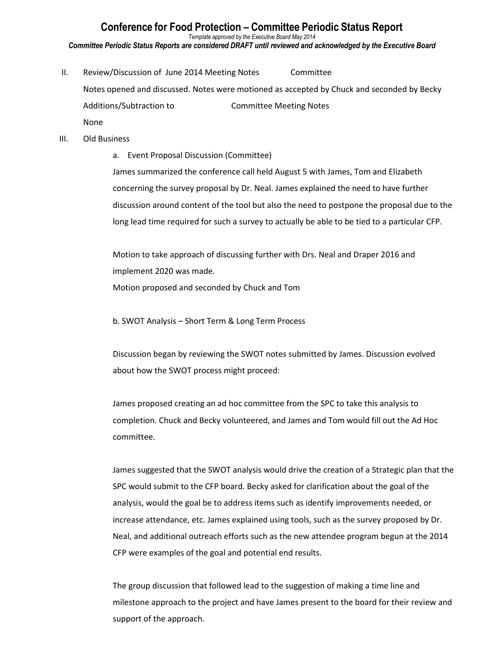*Template approved by the Executive Board May 2014*

*Committee Periodic Status Reports are considered DRAFT until reviewed and acknowledged by the Executive Board*

II. Review/Discussion of June 2014 Meeting Notes Committee Notes opened and discussed. Notes were motioned as accepted by Chuck and seconded by Becky Additions/Subtraction to Committee Meeting Notes None

#### III. Old Business

a. Event Proposal Discussion (Committee)

James summarized the conference call held August 5 with James, Tom and Elizabeth concerning the survey proposal by Dr. Neal. James explained the need to have further discussion around content of the tool but also the need to postpone the proposal due to the long lead time required for such a survey to actually be able to be tied to a particular CFP.

Motion to take approach of discussing further with Drs. Neal and Draper 2016 and implement 2020 was made. Motion proposed and seconded by Chuck and Tom

b. SWOT Analysis – Short Term & Long Term Process

Discussion began by reviewing the SWOT notes submitted by James. Discussion evolved about how the SWOT process might proceed:

James proposed creating an ad hoc committee from the SPC to take this analysis to completion. Chuck and Becky volunteered, and James and Tom would fill out the Ad Hoc committee.

James suggested that the SWOT analysis would drive the creation of a Strategic plan that the SPC would submit to the CFP board. Becky asked for clarification about the goal of the analysis, would the goal be to address items such as identify improvements needed, or increase attendance, etc. James explained using tools, such as the survey proposed by Dr. Neal, and additional outreach efforts such as the new attendee program begun at the 2014 CFP were examples of the goal and potential end results.

The group discussion that followed lead to the suggestion of making a time line and milestone approach to the project and have James present to the board for their review and support of the approach.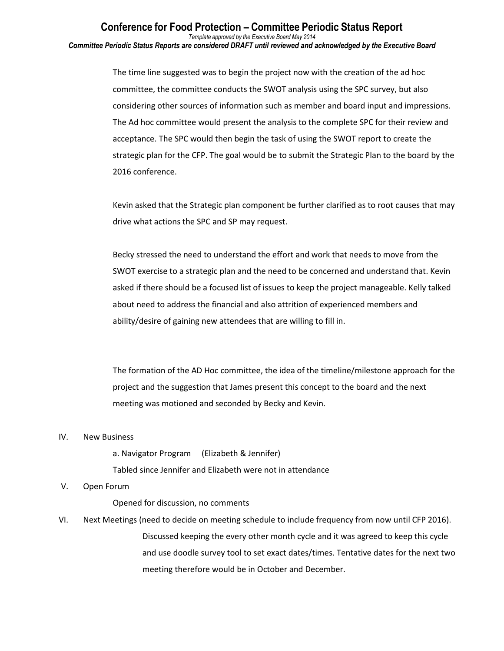*Template approved by the Executive Board May 2014 Committee Periodic Status Reports are considered DRAFT until reviewed and acknowledged by the Executive Board*

> The time line suggested was to begin the project now with the creation of the ad hoc committee, the committee conducts the SWOT analysis using the SPC survey, but also considering other sources of information such as member and board input and impressions. The Ad hoc committee would present the analysis to the complete SPC for their review and acceptance. The SPC would then begin the task of using the SWOT report to create the strategic plan for the CFP. The goal would be to submit the Strategic Plan to the board by the 2016 conference.

> Kevin asked that the Strategic plan component be further clarified as to root causes that may drive what actions the SPC and SP may request.

Becky stressed the need to understand the effort and work that needs to move from the SWOT exercise to a strategic plan and the need to be concerned and understand that. Kevin asked if there should be a focused list of issues to keep the project manageable. Kelly talked about need to address the financial and also attrition of experienced members and ability/desire of gaining new attendees that are willing to fill in.

The formation of the AD Hoc committee, the idea of the timeline/milestone approach for the project and the suggestion that James present this concept to the board and the next meeting was motioned and seconded by Becky and Kevin.

#### IV. New Business

a. Navigator Program (Elizabeth & Jennifer)

Tabled since Jennifer and Elizabeth were not in attendance

#### V. Open Forum

Opened for discussion, no comments

VI. Next Meetings (need to decide on meeting schedule to include frequency from now until CFP 2016). Discussed keeping the every other month cycle and it was agreed to keep this cycle and use doodle survey tool to set exact dates/times. Tentative dates for the next two meeting therefore would be in October and December.